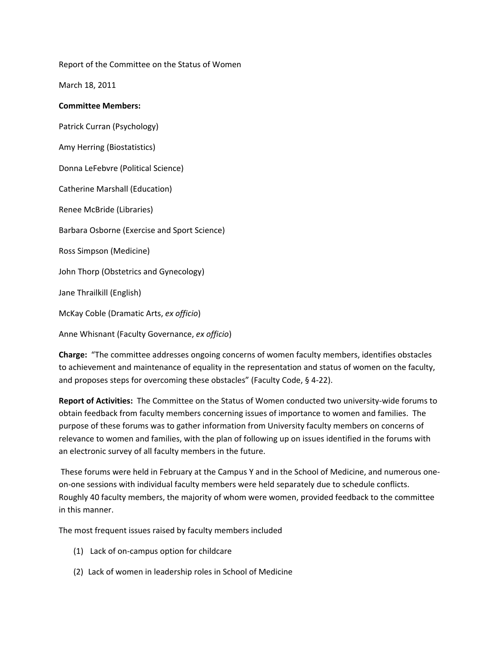Report of the Committee on the Status of Women

March 18, 2011

## **Committee Members:**

Patrick Curran (Psychology)

Amy Herring (Biostatistics)

Donna LeFebvre (Political Science)

Catherine Marshall (Education)

Renee McBride (Libraries)

Barbara Osborne (Exercise and Sport Science)

Ross Simpson (Medicine)

John Thorp (Obstetrics and Gynecology)

Jane Thrailkill (English)

McKay Coble (Dramatic Arts, *ex officio*)

Anne Whisnant (Faculty Governance, *ex officio*)

**Charge:** "The committee addresses ongoing concerns of women faculty members, identifies obstacles to achievement and maintenance of equality in the representation and status of women on the faculty, and proposes steps for overcoming these obstacles" (Faculty Code, § 4‐22).

**Report of Activities:** The Committee on the Status of Women conducted two university‐wide forums to obtain feedback from faculty members concerning issues of importance to women and families. The purpose of these forums was to gather information from University faculty members on concerns of relevance to women and families, with the plan of following up on issues identified in the forums with an electronic survey of all faculty members in the future.

These forums were held in February at the Campus Y and in the School of Medicine, and numerous one‐ on‐one sessions with individual faculty members were held separately due to schedule conflicts. Roughly 40 faculty members, the majority of whom were women, provided feedback to the committee in this manner.

The most frequent issues raised by faculty members included

- (1) Lack of on‐campus option for childcare
- (2) Lack of women in leadership roles in School of Medicine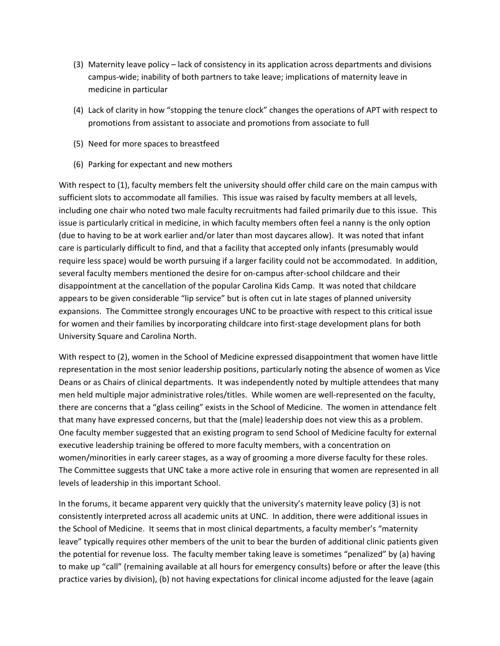- (3) Maternity leave policy lack of consistency in its application across departments and divisions campus‐wide; inability of both partners to take leave; implications of maternity leave in medicine in particular
- (4) Lack of clarity in how "stopping the tenure clock" changes the operations of APT with respect to promotions from assistant to associate and promotions from associate to full
- (5) Need for more spaces to breastfeed
- (6) Parking for expectant and new mothers

With respect to (1), faculty members felt the university should offer child care on the main campus with sufficient slots to accommodate all families. This issue was raised by faculty members at all levels, including one chair who noted two male faculty recruitments had failed primarily due to this issue. This issue is particularly critical in medicine, in which faculty members often feel a nanny is the only option (due to having to be at work earlier and/or later than most daycares allow). It was noted that infant care is particularly difficult to find, and that a facility that accepted only infants (presumably would require less space) would be worth pursuing if a larger facility could not be accommodated. In addition, several faculty members mentioned the desire for on-campus after-school childcare and their disappointment at the cancellation of the popular Carolina Kids Camp. It was noted that childcare appears to be given considerable "lip service" but is often cut in late stages of planned university expansions. The Committee strongly encourages UNC to be proactive with respect to this critical issue for women and their families by incorporating childcare into first-stage development plans for both University Square and Carolina North.

With respect to (2), women in the School of Medicine expressed disappointment that women have little representation in the most senior leadership positions, particularly noting the absence of women as Vice Deans or as Chairs of clinical departments. It was independently noted by multiple attendees that many men held multiple major administrative roles/titles. While women are well-represented on the faculty, there are concerns that a "glass ceiling" exists in the School of Medicine. The women in attendance felt that many have expressed concerns, but that the (male) leadership does not view this as a problem. One faculty member suggested that an existing program to send School of Medicine faculty for external executive leadership training be offered to more faculty members, with a concentration on women/minorities in early career stages, as a way of grooming a more diverse faculty for these roles. The Committee suggests that UNC take a more active role in ensuring that women are represented in all levels of leadership in this important School.

In the forums, it became apparent very quickly that the university's maternity leave policy (3) is not consistently interpreted across all academic units at UNC. In addition, there were additional issues in the School of Medicine. It seems that in most clinical departments, a faculty member's "maternity leave" typically requires other members of the unit to bear the burden of additional clinic patients given the potential for revenue loss. The faculty member taking leave is sometimes "penalized" by (a) having to make up "call" (remaining available at all hours for emergency consults) before or after the leave (this practice varies by division), (b) not having expectations for clinical income adjusted for the leave (again